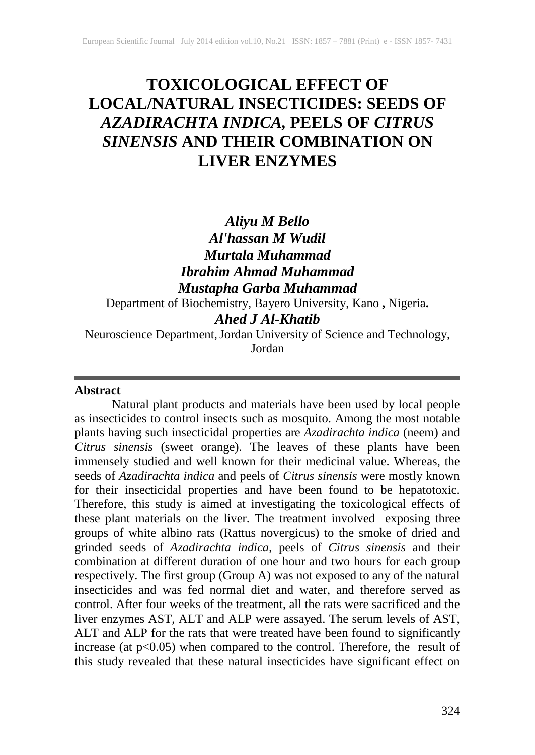# **TOXICOLOGICAL EFFECT OF LOCAL/NATURAL INSECTICIDES: SEEDS OF**  *AZADIRACHTA INDICA,* **PEELS OF** *CITRUS SINENSIS* **AND THEIR COMBINATION ON LIVER ENZYMES**

# *Aliyu M Bello Al'hassan M Wudil Murtala Muhammad Ibrahim Ahmad Muhammad Mustapha Garba Muhammad*

Department of Biochemistry, Bayero University, Kano **,** Nigeria**.** *Ahed J Al-Khatib*

Neuroscience Department,Jordan University of Science and Technology, Jordan

#### **Abstract**

Natural plant products and materials have been used by local people as insecticides to control insects such as mosquito. Among the most notable plants having such insecticidal properties are *Azadirachta indica* (neem) and *Citrus sinensis* (sweet orange). The leaves of these plants have been immensely studied and well known for their medicinal value. Whereas, the seeds of *Azadirachta indica* and peels of *Citrus sinensis* were mostly known for their insecticidal properties and have been found to be hepatotoxic. Therefore, this study is aimed at investigating the toxicological effects of these plant materials on the liver. The treatment involved exposing three groups of white albino rats (Rattus novergicus) to the smoke of dried and grinded seeds of *Azadirachta indica*, peels of *Citrus sinensis* and their combination at different duration of one hour and two hours for each group respectively. The first group (Group A) was not exposed to any of the natural insecticides and was fed normal diet and water, and therefore served as control. After four weeks of the treatment, all the rats were sacrificed and the liver enzymes AST, ALT and ALP were assayed. The serum levels of AST, ALT and ALP for the rats that were treated have been found to significantly increase (at  $p<0.05$ ) when compared to the control. Therefore, the result of this study revealed that these natural insecticides have significant effect on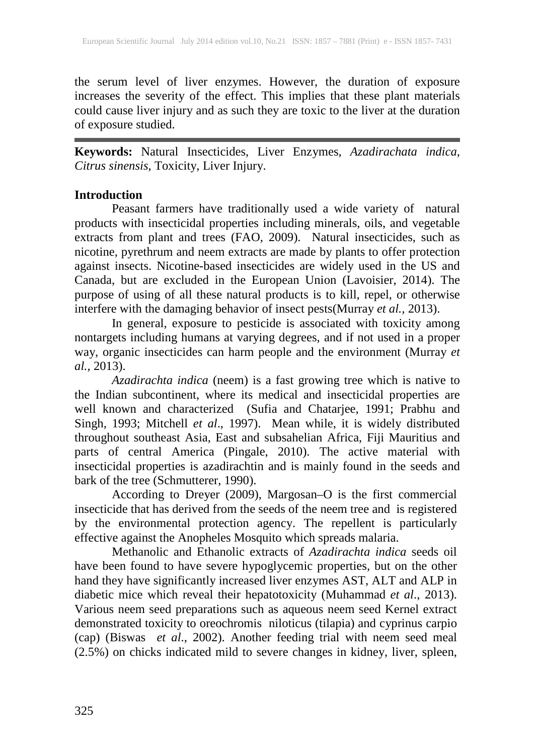the serum level of liver enzymes. However, the duration of exposure increases the severity of the effect. This implies that these plant materials could cause liver injury and as such they are toxic to the liver at the duration of exposure studied.

**Keywords:** Natural Insecticides, Liver Enzymes, *Azadirachata indica*, *Citrus sinensis*, Toxicity, Liver Injury.

## **Introduction**

Peasant farmers have traditionally used a wide variety of natural products with insecticidal properties including minerals, oils, and vegetable extracts from plant and trees [\(FAO,](http://www.fao/) 2009). Natural insecticides, such as nicotine, pyrethrum and neem extracts are made by plants to offer protection against insects. Nicotine-based insecticides are widely used in the US and Canada, but are excluded in the European Union (Lavoisier, 2014). The purpose of using of all these natural products is to kill, repel, or otherwise interfere with the damaging behavior of insect pests(Murray *et al.,* 2013).

In general, exposure to pesticide is associated with toxicity among nontargets including humans at varying degrees, and if not used in a proper way, organic insecticides can harm people and the environment (Murray *et al.,* 2013).

*Azadirachta indica* (neem) is a fast growing tree which is native to the Indian subcontinent, where its medical and insecticidal properties are well known and characterized (Sufia and Chatarjee, 1991; Prabhu and Singh, 1993; Mitchell *et al*., 1997). Mean while, it is widely distributed throughout southeast Asia, East and subsahelian Africa, Fiji Mauritius and parts of central America (Pingale, 2010). The active material with insecticidal properties is azadirachtin and is mainly found in the seeds and bark of the tree (Schmutterer, 1990).

According to Dreyer (2009), Margosan–O is the first commercial insecticide that has derived from the seeds of the neem tree and is registered by the environmental protection agency. The repellent is particularly effective against the Anopheles Mosquito which spreads malaria.

Methanolic and Ethanolic extracts of *Azadirachta indica* seeds oil have been found to have severe hypoglycemic properties, but on the other hand they have significantly increased liver enzymes AST, ALT and ALP in diabetic mice which reveal their hepatotoxicity (Muhammad *et al*., 2013). Various neem seed preparations such as aqueous neem seed Kernel extract demonstrated toxicity to oreochromis niloticus (tilapia) and cyprinus carpio (cap) (Biswas *et al*., 2002). Another feeding trial with neem seed meal (2.5%) on chicks indicated mild to severe changes in kidney, liver, spleen,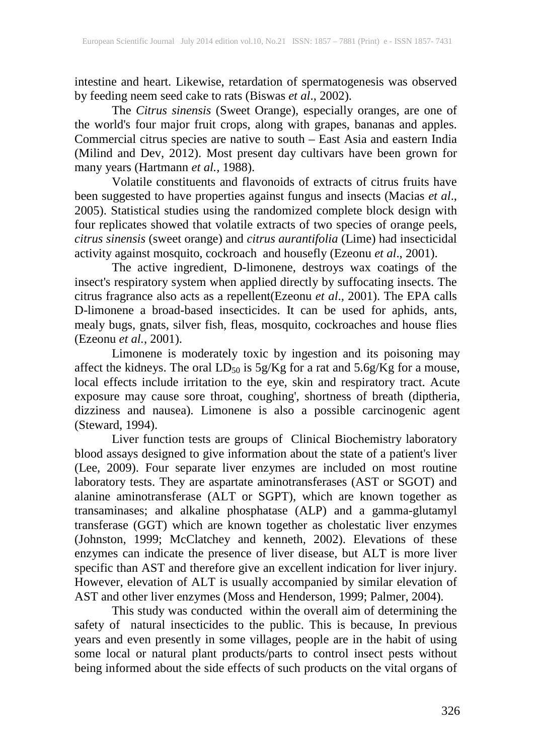intestine and heart. Likewise, retardation of spermatogenesis was observed by feeding neem seed cake to rats (Biswas *et al*., 2002).

The *Citrus sinensis* (Sweet Orange), especially oranges, are one of the world's four major fruit crops, along with grapes, bananas and apples. Commercial citrus species are native to south – East Asia and eastern India (Milind and Dev, 2012). Most present day cultivars have been grown for many years (Hartmann *et al.,* 1988).

Volatile constituents and flavonoids of extracts of citrus fruits have been suggested to have properties against fungus and insects (Macias *et al*., 2005). Statistical studies using the randomized complete block design with four replicates showed that volatile extracts of two species of orange peels, *citrus sinensis* (sweet orange) and *citrus aurantifolia* (Lime) had insecticidal activity against mosquito, cockroach and housefly (Ezeonu *et al*., 2001).

The active ingredient, D-limonene, destroys wax coatings of the insect's respiratory system when applied directly by suffocating insects. The citrus fragrance also acts as a repellent(Ezeonu *et al*.*,* 2001). The EPA calls D-limonene a broad-based insecticides. It can be used for aphids, ants, mealy bugs, gnats, silver fish, fleas, mosquito, cockroaches and house flies (Ezeonu *et al.*, 2001).

Limonene is moderately toxic by ingestion and its poisoning may affect the kidneys. The oral  $LD_{50}$  is  $5g/Kg$  for a rat and  $5.6g/Kg$  for a mouse, local effects include irritation to the eye, skin and respiratory tract. Acute exposure may cause sore throat, coughing', shortness of breath (diptheria, dizziness and nausea). Limonene is also a possible carcinogenic agent (Steward, 1994).

Liver function tests are groups of Clinical Biochemistry laboratory blood assays designed to give information about the state of a patient's liver (Lee, 2009). Four separate liver enzymes are included on most routine laboratory tests. They are aspartate aminotransferases (AST or SGOT) and alanine aminotransferase (ALT or SGPT), which are known together as transaminases; and alkaline phosphatase (ALP) and a gamma-glutamyl transferase (GGT) which are known together as cholestatic liver enzymes (Johnston, 1999; McClatchey and kenneth, 2002). Elevations of these enzymes can indicate the presence of liver disease, but ALT is more liver specific than AST and therefore give an excellent indication for liver injury. However, elevation of ALT is usually accompanied by similar elevation of AST and other liver enzymes (Moss and Henderson, 1999; Palmer, 2004).

This study was conducted within the overall aim of determining the safety of natural insecticides to the public. This is because, In previous years and even presently in some villages, people are in the habit of using some local or natural plant products/parts to control insect pests without being informed about the side effects of such products on the vital organs of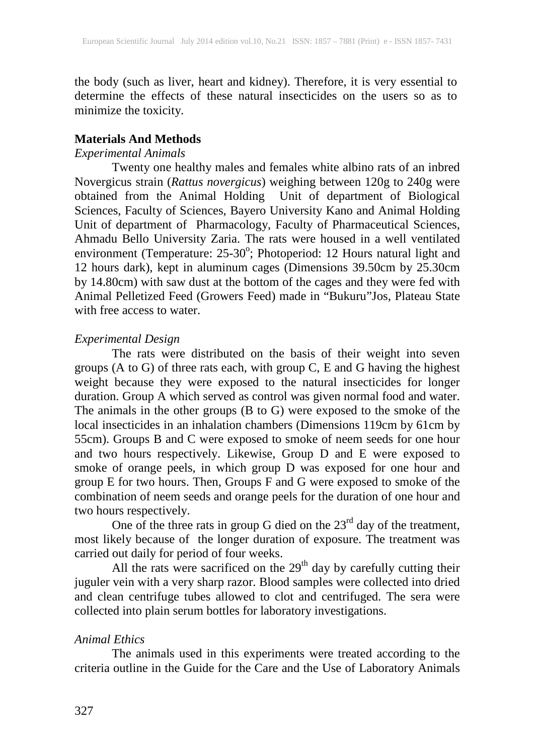the body (such as liver, heart and kidney). Therefore, it is very essential to determine the effects of these natural insecticides on the users so as to minimize the toxicity.

#### **Materials And Methods**

#### *Experimental Animals*

Twenty one healthy males and females white albino rats of an inbred Novergicus strain (*Rattus novergicus*) weighing between 120g to 240g were obtained from the Animal Holding Unit of department of Biological Sciences, Faculty of Sciences, Bayero University Kano and Animal Holding Unit of department of Pharmacology, Faculty of Pharmaceutical Sciences, Ahmadu Bello University Zaria. The rats were housed in a well ventilated environment (Temperature: 25-30°; Photoperiod: 12 Hours natural light and 12 hours dark), kept in aluminum cages (Dimensions 39.50cm by 25.30cm by 14.80cm) with saw dust at the bottom of the cages and they were fed with Animal Pelletized Feed (Growers Feed) made in "Bukuru"Jos, Plateau State with free access to water.

#### *Experimental Design*

The rats were distributed on the basis of their weight into seven groups  $(A \text{ to } G)$  of three rats each, with group  $C$ , E and G having the highest weight because they were exposed to the natural insecticides for longer duration. Group A which served as control was given normal food and water. The animals in the other groups (B to G) were exposed to the smoke of the local insecticides in an inhalation chambers (Dimensions 119cm by 61cm by 55cm). Groups B and C were exposed to smoke of neem seeds for one hour and two hours respectively. Likewise, Group D and E were exposed to smoke of orange peels, in which group D was exposed for one hour and group E for two hours. Then, Groups F and G were exposed to smoke of the combination of neem seeds and orange peels for the duration of one hour and two hours respectively.

One of the three rats in group G died on the  $23<sup>rd</sup>$  day of the treatment, most likely because of the longer duration of exposure. The treatment was carried out daily for period of four weeks.

All the rats were sacrificed on the  $29<sup>th</sup>$  day by carefully cutting their juguler vein with a very sharp razor. Blood samples were collected into dried and clean centrifuge tubes allowed to clot and centrifuged. The sera were collected into plain serum bottles for laboratory investigations.

## *Animal Ethics*

The animals used in this experiments were treated according to the criteria outline in the Guide for the Care and the Use of Laboratory Animals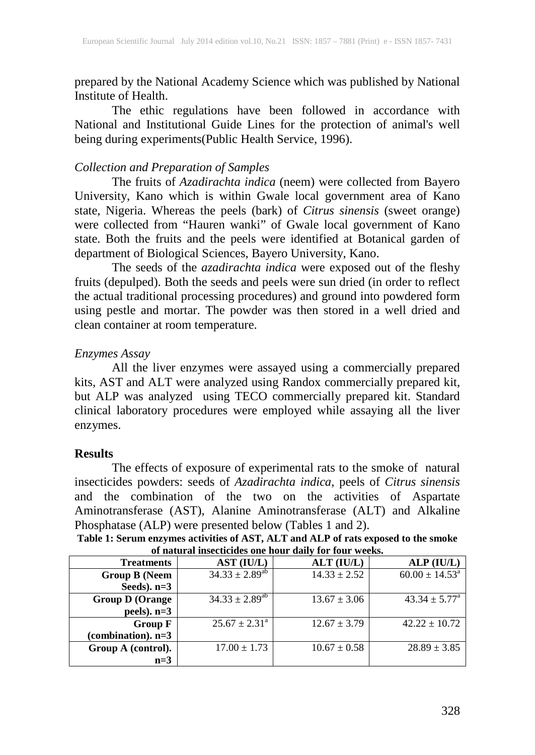prepared by the National Academy Science which was published by National Institute of Health.

The ethic regulations have been followed in accordance with National and Institutional Guide Lines for the protection of animal's well being during experiments(Public Health Service, 1996).

#### *Collection and Preparation of Samples*

The fruits of *Azadirachta indica* (neem) were collected from Bayero University, Kano which is within Gwale local government area of Kano state, Nigeria. Whereas the peels (bark) of *Citrus sinensis* (sweet orange) were collected from "Hauren wanki" of Gwale local government of Kano state. Both the fruits and the peels were identified at Botanical garden of department of Biological Sciences, Bayero University, Kano.

The seeds of the *azadirachta indica* were exposed out of the fleshy fruits (depulped). Both the seeds and peels were sun dried (in order to reflect the actual traditional processing procedures) and ground into powdered form using pestle and mortar. The powder was then stored in a well dried and clean container at room temperature.

## *Enzymes Assay*

All the liver enzymes were assayed using a commercially prepared kits, AST and ALT were analyzed using Randox commercially prepared kit, but ALP was analyzed using TECO commercially prepared kit. Standard clinical laboratory procedures were employed while assaying all the liver enzymes.

#### **Results**

**Group A (control).** 

**n=3**

The effects of exposure of experimental rats to the smoke of natural insecticides powders: seeds of *Azadirachta indica*, peels of *Citrus sinensis* and the combination of the two on the activities of Aspartate Aminotransferase (AST), Alanine Aminotransferase (ALT) and Alkaline Phosphatase (ALP) were presented below (Tables 1 and 2).

| of natural insecticides one hour daily for four weeks. |                          |                  |                              |  |
|--------------------------------------------------------|--------------------------|------------------|------------------------------|--|
| <b>Treatments</b>                                      | AST (IU/L)               | $ALT$ ( $IU/L$ ) | ALP (IUL)                    |  |
| <b>Group B</b> (Neem                                   | $34.33 \pm 2.89^{ab}$    | $14.33 \pm 2.52$ | $60.00 \pm 14.53^{\text{a}}$ |  |
| Seeds). $n=3$                                          |                          |                  |                              |  |
| <b>Group D (Orange)</b>                                | $34.33 \pm 2.89^{ab}$    | $13.67 \pm 3.06$ | $43.34 \pm 5.77^{\circ}$     |  |
| peels). $n=3$                                          |                          |                  |                              |  |
| Group F                                                | $25.67 \pm 2.31^{\circ}$ | $12.67 \pm 3.79$ | $42.22 \pm 10.72$            |  |
| (combination). $n=3$                                   |                          |                  |                              |  |

 $17.00 \pm 1.73$  10.67  $\pm$  0.58 28.89  $\pm$  3.85

**Table 1: Serum enzymes activities of AST, ALT and ALP of rats exposed to the smoke**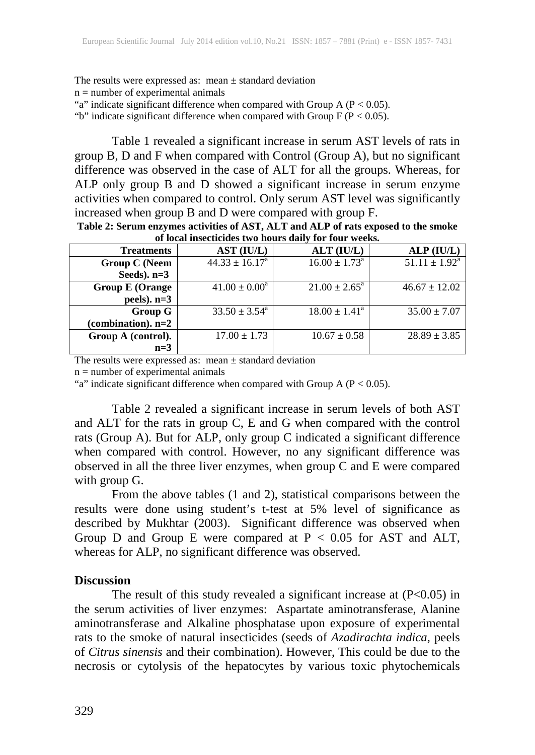The results were expressed as: mean  $\pm$  standard deviation  $n =$  number of experimental animals "a" indicate significant difference when compared with Group A ( $P < 0.05$ ). "b" indicate significant difference when compared with Group  $F (P < 0.05)$ .

Table 1 revealed a significant increase in serum AST levels of rats in group B, D and F when compared with Control (Group A), but no significant difference was observed in the case of ALT for all the groups. Whereas, for ALP only group B and D showed a significant increase in serum enzyme activities when compared to control. Only serum AST level was significantly increased when group B and D were compared with group F.

| of local insecticides two hours daily for four weeks. |                          |                          |                    |  |
|-------------------------------------------------------|--------------------------|--------------------------|--------------------|--|
| <b>Treatments</b>                                     | AST (IU/L)               | ALT (IU/L)               | ALP (IU/L)         |  |
| <b>Group C (Neem</b>                                  | $44.33 \pm 16.17^a$      | $16.00 \pm 1.73^{\circ}$ | $51.11 \pm 1.92^a$ |  |
| Seeds). $n=3$                                         |                          |                          |                    |  |
| <b>Group E (Orange)</b>                               | $41.00 \pm 0.00^a$       | $21.00 \pm 2.65^{\circ}$ | $46.67 \pm 12.02$  |  |
| peels). $n=3$                                         |                          |                          |                    |  |
| <b>Group G</b>                                        | $33.50 \pm 3.54^{\circ}$ | $18.00 \pm 1.41^{\circ}$ | $35.00 \pm 7.07$   |  |
| (combination). $n=2$                                  |                          |                          |                    |  |
| Group A (control).                                    | $17.00 \pm 1.73$         | $10.67 \pm 0.58$         | $28.89 \pm 3.85$   |  |
| $n=3$                                                 |                          |                          |                    |  |

**Table 2: Serum enzymes activities of AST, ALT and ALP of rats exposed to the smoke of local insecticides two hours daily for four weeks.**

The results were expressed as: mean  $\pm$  standard deviation

 $n =$  number of experimental animals

"a" indicate significant difference when compared with Group A ( $P < 0.05$ ).

Table 2 revealed a significant increase in serum levels of both AST and ALT for the rats in group C, E and G when compared with the control rats (Group A). But for ALP, only group C indicated a significant difference when compared with control. However, no any significant difference was observed in all the three liver enzymes, when group C and E were compared with group G.

From the above tables (1 and 2), statistical comparisons between the results were done using student's t-test at 5% level of significance as described by Mukhtar (2003). Significant difference was observed when Group D and Group E were compared at  $P < 0.05$  for AST and ALT, whereas for ALP, no significant difference was observed.

#### **Discussion**

The result of this study revealed a significant increase at  $(P<0.05)$  in the serum activities of liver enzymes: Aspartate aminotransferase, Alanine aminotransferase and Alkaline phosphatase upon exposure of experimental rats to the smoke of natural insecticides (seeds of *Azadirachta indica,* peels of *Citrus sinensis* and their combination). However, This could be due to the necrosis or cytolysis of the hepatocytes by various toxic phytochemicals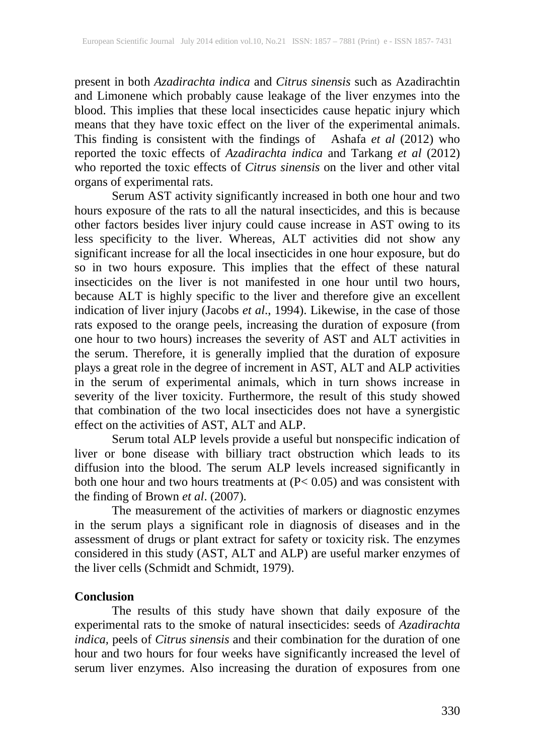present in both *Azadirachta indica* and *Citrus sinensis* such as Azadirachtin and Limonene which probably cause leakage of the liver enzymes into the blood. This implies that these local insecticides cause hepatic injury which means that they have toxic effect on the liver of the experimental animals. This finding is consistent with the findings of Ashafa *et al* (2012) who reported the toxic effects of *Azadirachta indica* and Tarkang *et al* (2012) who reported the toxic effects of *Citrus sinensis* on the liver and other vital organs of experimental rats.

Serum AST activity significantly increased in both one hour and two hours exposure of the rats to all the natural insecticides, and this is because other factors besides liver injury could cause increase in AST owing to its less specificity to the liver. Whereas, ALT activities did not show any significant increase for all the local insecticides in one hour exposure, but do so in two hours exposure. This implies that the effect of these natural insecticides on the liver is not manifested in one hour until two hours, because ALT is highly specific to the liver and therefore give an excellent indication of liver injury (Jacobs *et al*., 1994). Likewise, in the case of those rats exposed to the orange peels, increasing the duration of exposure (from one hour to two hours) increases the severity of AST and ALT activities in the serum. Therefore, it is generally implied that the duration of exposure plays a great role in the degree of increment in AST, ALT and ALP activities in the serum of experimental animals, which in turn shows increase in severity of the liver toxicity. Furthermore, the result of this study showed that combination of the two local insecticides does not have a synergistic effect on the activities of AST, ALT and ALP.

Serum total ALP levels provide a useful but nonspecific indication of liver or bone disease with billiary tract obstruction which leads to its diffusion into the blood. The serum ALP levels increased significantly in both one hour and two hours treatments at (P< 0.05) and was consistent with the finding of Brown *et al*. (2007).

The measurement of the activities of markers or diagnostic enzymes in the serum plays a significant role in diagnosis of diseases and in the assessment of drugs or plant extract for safety or toxicity risk. The enzymes considered in this study (AST, ALT and ALP) are useful marker enzymes of the liver cells (Schmidt and Schmidt, 1979).

#### **Conclusion**

The results of this study have shown that daily exposure of the experimental rats to the smoke of natural insecticides: seeds of *Azadirachta indica,* peels of *Citrus sinensis* and their combination for the duration of one hour and two hours for four weeks have significantly increased the level of serum liver enzymes. Also increasing the duration of exposures from one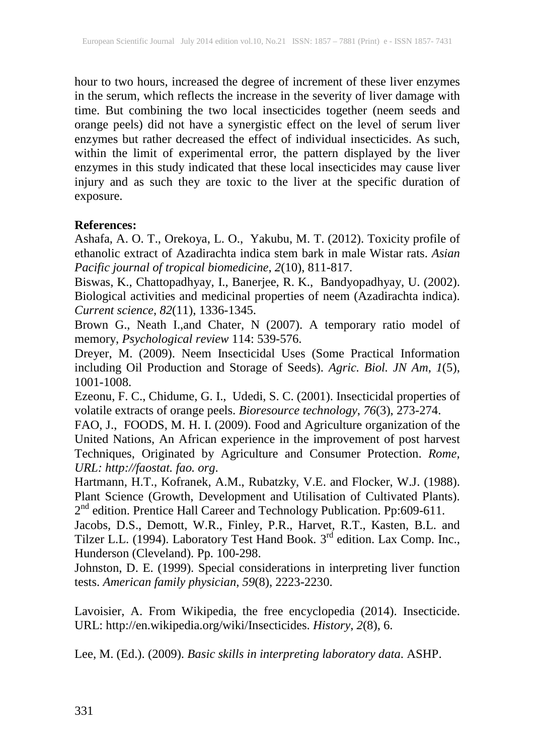hour to two hours, increased the degree of increment of these liver enzymes in the serum, which reflects the increase in the severity of liver damage with time. But combining the two local insecticides together (neem seeds and orange peels) did not have a synergistic effect on the level of serum liver enzymes but rather decreased the effect of individual insecticides. As such, within the limit of experimental error, the pattern displayed by the liver enzymes in this study indicated that these local insecticides may cause liver injury and as such they are toxic to the liver at the specific duration of exposure.

## **References:**

Ashafa, A. O. T., Orekoya, L. O., Yakubu, M. T. (2012). Toxicity profile of ethanolic extract of Azadirachta indica stem bark in male Wistar rats. *Asian Pacific journal of tropical biomedicine*, *2*(10), 811-817.

Biswas, K., Chattopadhyay, I., Banerjee, R. K., Bandyopadhyay, U. (2002). Biological activities and medicinal properties of neem (Azadirachta indica). *Current science*, *82*(11), 1336-1345.

Brown G., Neath I.,and Chater, N (2007). A temporary ratio model of memory, *Psychological review* 114: 539-576.

Dreyer, M. (2009). Neem Insecticidal Uses (Some Practical Information including Oil Production and Storage of Seeds). *Agric. Biol. JN Am*, *1*(5), 1001-1008.

Ezeonu, F. C., Chidume, G. I., Udedi, S. C. (2001). Insecticidal properties of volatile extracts of orange peels. *Bioresource technology*, *76*(3), 273-274.

FAO, J., FOODS, M. H. I. (2009). Food and Agriculture organization of the United Nations, An African experience in the improvement of post harvest Techniques, Originated by Agriculture and Consumer Protection. *Rome, URL: http://faostat. fao. org*.

Hartmann, H.T., Kofranek, A.M., Rubatzky, V.E. and Flocker, W.J. (1988). Plant Science (Growth, Development and Utilisation of Cultivated Plants). 2<sup>nd</sup> edition. Prentice Hall Career and Technology Publication. Pp:609-611.

Jacobs, D.S., Demott, W.R., Finley, P.R., Harvet, R.T., Kasten, B.L. and Tilzer L.L. (1994). Laboratory Test Hand Book*.* 3rd edition. Lax Comp. Inc., Hunderson (Cleveland). Pp. 100-298.

Johnston, D. E. (1999). Special considerations in interpreting liver function tests. *American family physician*, *59*(8), 2223-2230.

Lavoisier, A. From Wikipedia, the free encyclopedia (2014). Insecticide. URL: http://en.wikipedia.org/wiki/Insecticides. *History*, *2*(8), 6.

Lee, M. (Ed.). (2009). *Basic skills in interpreting laboratory data*. ASHP.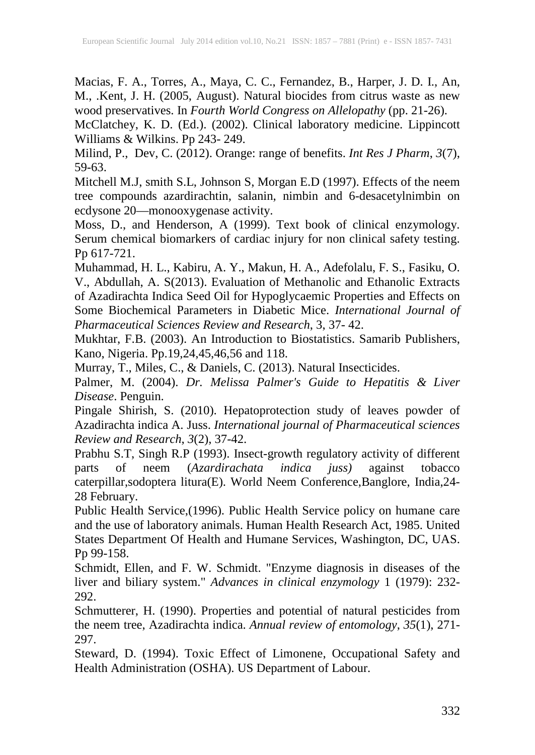Macias, F. A., Torres, A., Maya, C. C., Fernandez, B., Harper, J. D. I., An, M., .Kent, J. H. (2005, August). Natural biocides from citrus waste as new wood preservatives. In *Fourth World Congress on Allelopathy* (pp. 21-26).

McClatchey, K. D. (Ed.). (2002). Clinical laboratory medicine. Lippincott Williams & Wilkins. Pp 243- 249.

Milind, P., Dev, C. (2012). Orange: range of benefits. *Int Res J Pharm*, *3*(7), 59-63.

Mitchell M.J, smith S.L, Johnson S, Morgan E.D (1997). Effects of the neem tree compounds azardirachtin, salanin, nimbin and 6-desacetylnimbin on ecdysone 20—monooxygenase activity.

Moss, D., and Henderson, A (1999). Text book of clinical enzymology. Serum chemical biomarkers of cardiac injury for non clinical safety testing. Pp 617-721.

Muhammad, H. L., Kabiru, A. Y., Makun, H. A., Adefolalu, F. S., Fasiku, O. V., Abdullah, A. S(2013). Evaluation of Methanolic and Ethanolic Extracts of Azadirachta Indica Seed Oil for Hypoglycaemic Properties and Effects on Some Biochemical Parameters in Diabetic Mice. *International Journal of Pharmaceutical Sciences Review and Research*, 3, 37- 42.

Mukhtar, F.B. (2003). An Introduction to Biostatistics. Samarib Publishers, Kano, Nigeria. Pp.19,24,45,46,56 and 118.

Murray, T., Miles, C., & Daniels, C. (2013). Natural Insecticides.

Palmer, M. (2004). *Dr. Melissa Palmer's Guide to Hepatitis & Liver Disease*. Penguin.

Pingale Shirish, S. (2010). Hepatoprotection study of leaves powder of Azadirachta indica A. Juss. *International journal of Pharmaceutical sciences Review and Research*, *3*(2), 37-42.

Prabhu S.T, Singh R.P (1993). Insect-growth regulatory activity of different parts of neem (Azardirachata indica juss) against tobacco parts of neem (*Azardirachata indica juss)* against tobacco caterpillar,sodoptera litura(E). World Neem Conference,Banglore, India,24- 28 February.

Public Health Service,(1996). Public Health Service policy on humane care and the use of laboratory animals. Human Health Research Act, 1985. United States Department Of Health and Humane Services, Washington, DC, UAS. Pp 99-158.

Schmidt, Ellen, and F. W. Schmidt. "Enzyme diagnosis in diseases of the liver and biliary system." *Advances in clinical enzymology* 1 (1979): 232- 292.

Schmutterer, H. (1990). Properties and potential of natural pesticides from the neem tree, Azadirachta indica. *Annual review of entomology*, *35*(1), 271- 297.

Steward, D. (1994). Toxic Effect of Limonene, Occupational Safety and Health Administration (OSHA). US Department of Labour.